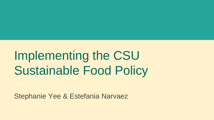# Implementing the CSU Sustainable Food Policy

Stephanie Yee & Estefania Narvaez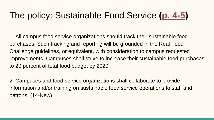# The policy: Sustainable Food Service **([p. 4-5](http://www.calstate.edu/bot/agendas/may14/JointMeeting-CPBG-ED.pdf))**

1. All campus food service organizations should track their sustainable food purchases. Such tracking and reporting will be grounded in the Real Food Challenge guidelines, or equivalent, with consideration to campus requested improvements. Campuses shall strive to increase their sustainable food purchases to 20 percent of total food budget by 2020.

2. Campuses and food service organizations shall collaborate to provide information and/or training on sustainable food service operations to staff and patrons. (14-New)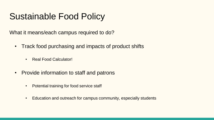# Sustainable Food Policy

What it means/each campus required to do?

- Track food purchasing and impacts of product shifts
	- Real Food Calculator!
- Provide information to staff and patrons
	- Potential training for food service staff
	- Education and outreach for campus community, especially students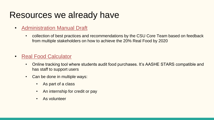### Resources we already have

- [Administration Manual Draft](https://drive.google.com/file/d/0B4gW64MygPviOFNJbzFOeXJFWlE/view?usp=sharing)
	- collection of best practices and recommendations by the CSU Core Team based on feedback from multiple stakeholders on how to achieve the 20% Real Food by 2020
- [Real Food Calculator](http://calculator.realfoodchallenge.org/)
	- Online tracking tool where students audit food purchases. It's AASHE STARS compatible and has staff to support users
	- Can be done in multiple ways:
		- As part of a class
		- An internship for credit or pay
		- As volunteer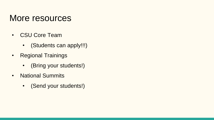#### More resources

- CSU Core Team
	- (Students can apply!!!)
- Regional Trainings
	- (Bring your students!)
- National Summits
	- (Send your students!)